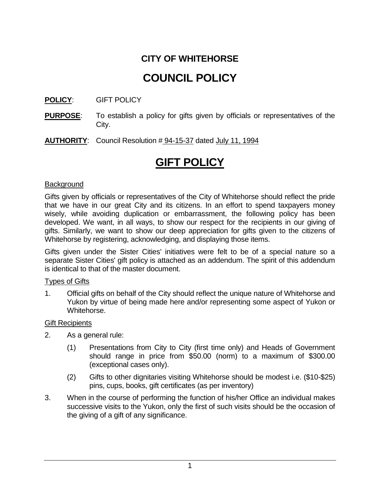# **CITY OF WHITEHORSE**

# **COUNCIL POLICY**

### **POLICY**: GIFT POLICY

- **PURPOSE:** To establish a policy for gifts given by officials or representatives of the City.
- **AUTHORITY**: Council Resolution # 94-15-37 dated July 11, 1994

# **GIFT POLICY**

#### **Background**

Gifts given by officials or representatives of the City of Whitehorse should reflect the pride that we have in our great City and its citizens. In an effort to spend taxpayers money wisely, while avoiding duplication or embarrassment, the following policy has been developed. We want, in all ways, to show our respect for the recipients in our giving of gifts. Similarly, we want to show our deep appreciation for gifts given to the citizens of Whitehorse by registering, acknowledging, and displaying those items.

Gifts given under the Sister Cities' initiatives were felt to be of a special nature so a separate Sister Cities' gift policy is attached as an addendum. The spirit of this addendum is identical to that of the master document.

#### Types of Gifts

1. Official gifts on behalf of the City should reflect the unique nature of Whitehorse and Yukon by virtue of being made here and/or representing some aspect of Yukon or Whitehorse.

#### Gift Recipients

- 2. As a general rule:
	- (1) Presentations from City to City (first time only) and Heads of Government should range in price from \$50.00 (norm) to a maximum of \$300.00 (exceptional cases only).
	- (2) Gifts to other dignitaries visiting Whitehorse should be modest i.e. (\$10-\$25) pins, cups, books, gift certificates (as per inventory)
- 3. When in the course of performing the function of his/her Office an individual makes successive visits to the Yukon, only the first of such visits should be the occasion of the giving of a gift of any significance.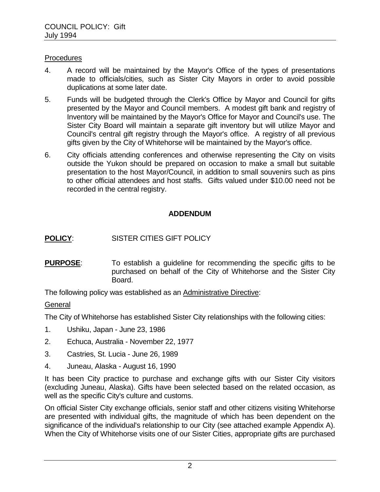#### **Procedures**

- 4. A record will be maintained by the Mayor's Office of the types of presentations made to officials/cities, such as Sister City Mayors in order to avoid possible duplications at some later date.
- 5. Funds will be budgeted through the Clerk's Office by Mayor and Council for gifts presented by the Mayor and Council members. A modest gift bank and registry of Inventory will be maintained by the Mayor's Office for Mayor and Council's use. The Sister City Board will maintain a separate gift inventory but will utilize Mayor and Council's central gift registry through the Mayor's office. A registry of all previous gifts given by the City of Whitehorse will be maintained by the Mayor's office.
- 6. City officials attending conferences and otherwise representing the City on visits outside the Yukon should be prepared on occasion to make a small but suitable presentation to the host Mayor/Council, in addition to small souvenirs such as pins to other official attendees and host staffs. Gifts valued under \$10.00 need not be recorded in the central registry.

## **ADDENDUM**

# **POLICY**: SISTER CITIES GIFT POLICY

**PURPOSE:** To establish a guideline for recommending the specific gifts to be purchased on behalf of the City of Whitehorse and the Sister City Board.

The following policy was established as an Administrative Directive:

### **General**

The City of Whitehorse has established Sister City relationships with the following cities:

- 1. Ushiku, Japan June 23, 1986
- 2. Echuca, Australia November 22, 1977
- 3. Castries, St. Lucia June 26, 1989
- 4. Juneau, Alaska August 16, 1990

It has been City practice to purchase and exchange gifts with our Sister City visitors (excluding Juneau, Alaska). Gifts have been selected based on the related occasion, as well as the specific City's culture and customs.

On official Sister City exchange officials, senior staff and other citizens visiting Whitehorse are presented with individual gifts, the magnitude of which has been dependent on the significance of the individual's relationship to our City (see attached example Appendix A). When the City of Whitehorse visits one of our Sister Cities, appropriate gifts are purchased